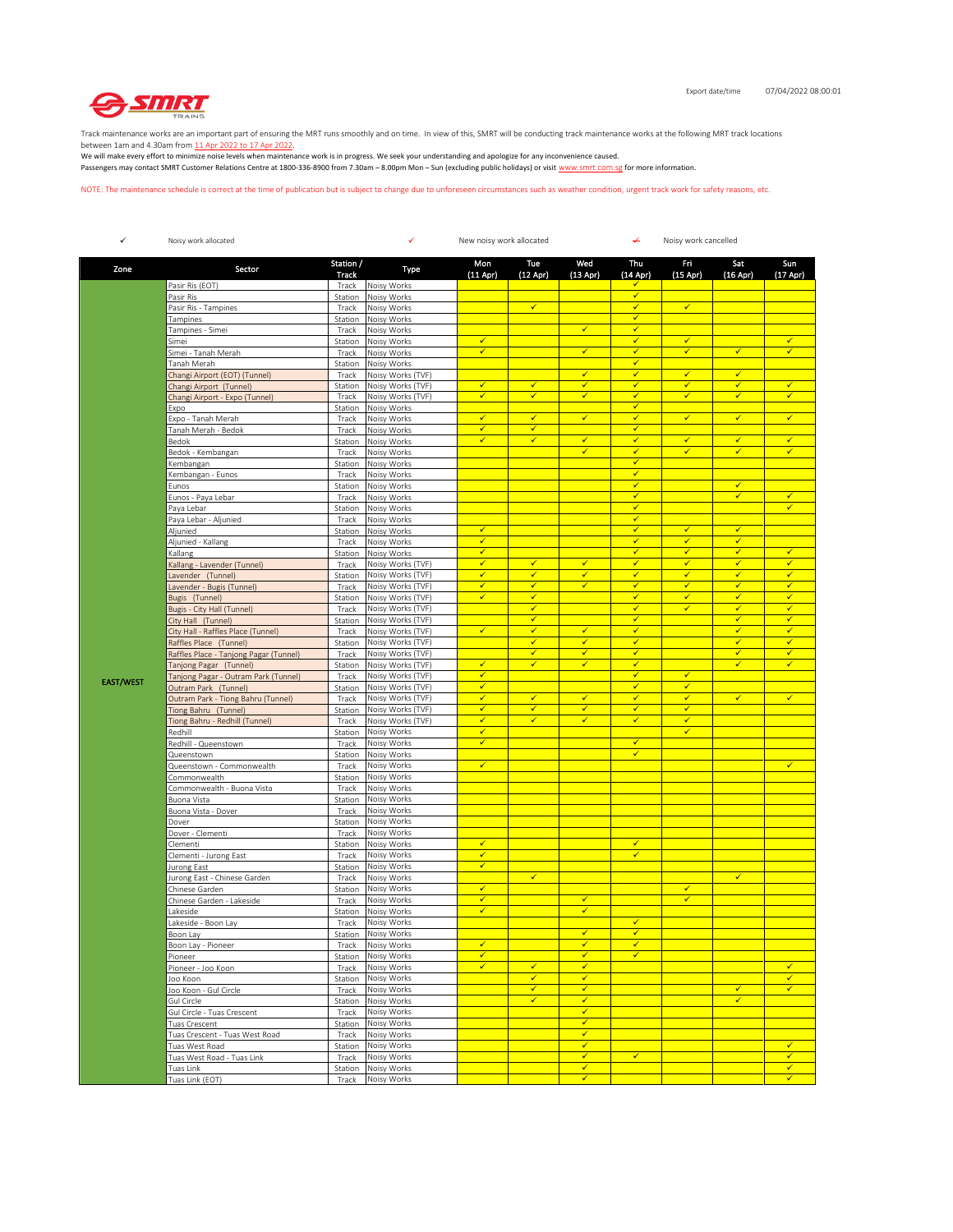

Track maintenance works are an important part of ensuring the MRT runs smoothly and on time. In view of this, SMRT will be conducting track maintenance works at the following MRT track locations

between 1am and 4.30am from <u>11 Apr 2022 to 17 Apr 2022</u>.<br>We will make every effort to minimize noise levels when maintenance work is in progress. We seek your understanding and apologize for any inconvenience caused. Passengers may contact SMRT Customer Relations Centre at 1800-336-8900 from 7.30am – 8.00pm Mon – Sun (excluding public holidays) or visit www.smrt.com.sg for more information.

NOTE: The maintenance schedule is correct at the time of publication but is subject to change due to unforeseen circumstances such as weather condition, urgent track work for safety reasons, etc.

| $\checkmark$     | Noisy work allocated                                       |                    | ✓<br>New noisy work allocated          |                              |                              |                              | ¥                            | Noisy work cancelled         |                              |                              |  |
|------------------|------------------------------------------------------------|--------------------|----------------------------------------|------------------------------|------------------------------|------------------------------|------------------------------|------------------------------|------------------------------|------------------------------|--|
| Zone             | Sector                                                     | Station /<br>Track | Type                                   | Mon<br>$(11$ Apr $)$         | Tue<br>$(12$ Apr $)$         | Wed<br>$(13$ Apr)            | Thu<br>(14 Apr)              | Fri<br>$(15$ Apr)            | Sat<br>$(16$ Apr)            | Sun<br>$(17$ Apr)            |  |
|                  | Pasir Ris (EOT)                                            | Track              | Noisy Works                            |                              |                              |                              | ✓                            |                              |                              |                              |  |
|                  | Pasir Ris                                                  | Station            | Noisy Works                            |                              |                              |                              | $\checkmark$                 |                              |                              |                              |  |
|                  | Pasir Ris - Tampines                                       | Track              | Noisy Works<br>Noisy Works             |                              | $\checkmark$                 |                              | $\checkmark$<br>$\checkmark$ | $\checkmark$                 |                              |                              |  |
|                  | Tampines<br>Tampines - Simei                               | Station<br>Track   | Noisy Works                            |                              |                              | $\checkmark$                 | $\checkmark$                 |                              |                              |                              |  |
|                  | Simei                                                      | Station            | Noisy Works                            | $\checkmark$                 |                              |                              | $\checkmark$                 | ✓                            |                              | $\checkmark$                 |  |
|                  | Simei - Tanah Merah                                        | Track              | Noisy Works                            | $\checkmark$                 |                              | $\checkmark$                 | $\checkmark$                 | $\checkmark$                 | $\checkmark$                 | $\checkmark$                 |  |
|                  | Tanah Merah                                                | Station            | Noisy Works                            |                              |                              |                              | $\checkmark$                 |                              |                              |                              |  |
|                  | Changi Airport (EOT) (Tunnel)                              | Track              | Noisy Works (TVF)                      | $\overline{\checkmark}$      | $\checkmark$                 | $\checkmark$<br>$\checkmark$ | $\checkmark$<br>$\checkmark$ | $\checkmark$<br>$\checkmark$ | $\checkmark$<br>$\checkmark$ | $\checkmark$                 |  |
|                  | Changi Airport (Tunnel)<br>Changi Airport - Expo (Tunnel)  | Station<br>Track   | Noisy Works (TVF)<br>Noisy Works (TVF) | $\checkmark$                 | $\checkmark$                 | $\checkmark$                 | $\checkmark$                 | ✓                            | $\checkmark$                 | $\checkmark$                 |  |
|                  | Expo                                                       | Station            | Noisy Works                            |                              |                              |                              | $\checkmark$                 |                              |                              |                              |  |
|                  | Expo - Tanah Merah                                         | Track              | Noisy Works                            | $\checkmark$                 | $\checkmark$                 | $\checkmark$                 | $\checkmark$                 | $\checkmark$                 | $\checkmark$                 | ✓                            |  |
|                  | Tanah Merah - Bedok                                        | Track              | Noisy Works                            | $\checkmark$                 | $\checkmark$                 |                              | $\checkmark$                 |                              |                              |                              |  |
|                  | Bedok                                                      | Station            | Noisy Works                            | $\checkmark$                 | $\checkmark$                 | $\checkmark$<br>$\checkmark$ | $\checkmark$                 | $\checkmark$                 | $\checkmark$                 | $\checkmark$                 |  |
|                  | Bedok - Kembangan                                          | Track              | Noisy Works<br>Noisy Works             |                              |                              |                              | $\checkmark$<br>✓            | ✓                            | $\checkmark$                 | $\checkmark$                 |  |
|                  | Kembangan<br>Kembangan - Eunos                             | Station<br>Track   | Noisy Works                            |                              |                              |                              | $\checkmark$                 |                              |                              |                              |  |
|                  | Eunos                                                      | Station            | Noisy Works                            |                              |                              |                              | $\checkmark$                 |                              | ✓                            |                              |  |
|                  | Eunos - Paya Lebar                                         | Track              | Noisy Works                            |                              |                              |                              | $\checkmark$                 |                              | $\checkmark$                 | $\checkmark$                 |  |
|                  | Paya Lebar                                                 | Station            | Noisy Works                            |                              |                              |                              | $\checkmark$                 |                              |                              | $\checkmark$                 |  |
|                  | Paya Lebar - Aljunied                                      | Track              | Noisy Works                            |                              |                              |                              | $\checkmark$                 |                              |                              |                              |  |
|                  | Aljunied                                                   | Station            | Noisy Works                            | $\checkmark$<br>✓            |                              |                              | $\checkmark$<br>$\checkmark$ | $\checkmark$<br>✓            | $\checkmark$<br>$\checkmark$ |                              |  |
|                  | Aljunied - Kallang<br>Kallang                              | Track<br>Station   | Noisy Works<br>Noisy Works             | $\checkmark$                 |                              |                              | $\checkmark$                 | $\checkmark$                 | $\checkmark$                 | $\checkmark$                 |  |
|                  | Kallang - Lavender (Tunnel)                                | Track              | Noisy Works (TVF)                      | $\checkmark$                 | $\checkmark$                 | $\checkmark$                 | $\checkmark$                 | ✓                            | $\checkmark$                 | $\checkmark$                 |  |
|                  | avender (Tunnel)                                           | Station            | Noisy Works (TVF)                      | ✔                            | $\checkmark$                 | $\checkmark$                 | $\checkmark$                 | ✓                            | $\checkmark$                 | $\checkmark$                 |  |
|                  | Lavender - Bugis (Tunnel)                                  | Track              | Noisy Works (TVF)                      | $\checkmark$                 | $\checkmark$                 | $\checkmark$                 | $\checkmark$                 | $\checkmark$                 | $\checkmark$                 | $\checkmark$                 |  |
|                  | Bugis (Tunnel)                                             | Station            | Noisy Works (TVF)                      | $\checkmark$                 | $\checkmark$                 |                              | $\checkmark$                 | ✓                            | $\checkmark$                 | $\checkmark$                 |  |
|                  | Bugis - City Hall (Tunnel)                                 | Track              | Noisy Works (TVF)                      |                              | $\checkmark$<br>$\checkmark$ |                              | $\checkmark$<br>$\checkmark$ | ✓                            | $\checkmark$<br>$\checkmark$ | $\checkmark$<br>$\checkmark$ |  |
|                  | City Hall (Tunnel)<br>City Hall - Raffles Place (Tunnel)   | Station<br>Track   | Noisy Works (TVF)<br>Noisy Works (TVF) | ✔                            | ✔                            | ✓                            | ✓                            |                              | ✓                            | ✓                            |  |
|                  | Raffles Place (Tunnel)                                     | Station            | Noisy Works (TVF)                      |                              | $\checkmark$                 | $\checkmark$                 | $\checkmark$                 |                              | $\checkmark$                 | $\checkmark$                 |  |
|                  | Raffles Place - Tanjong Pagar (Tunnel)                     | Track              | Noisy Works (TVF)                      |                              | ✓                            | ✓                            | $\checkmark$                 |                              | ✓                            | $\checkmark$                 |  |
|                  | Tanjong Pagar (Tunnel)                                     | Station            | Noisy Works (TVF)                      | $\checkmark$                 | $\checkmark$                 | $\checkmark$                 | $\checkmark$                 |                              | $\checkmark$                 | $\checkmark$                 |  |
| <b>EAST/WEST</b> | Tanjong Pagar - Outram Park (Tunnel)                       | Track              | Noisy Works (TVF)                      | $\checkmark$                 |                              |                              | $\checkmark$                 | $\checkmark$                 |                              |                              |  |
|                  | Outram Park (Tunnel)                                       | Station            | Noisy Works (TVF)                      | $\checkmark$                 |                              |                              | $\checkmark$                 | $\checkmark$                 |                              |                              |  |
|                  | Outram Park - Tiong Bahru (Tunnel)<br>Tiong Bahru (Tunnel) | Track              | Noisy Works (TVF)<br>Noisy Works (TVF) | $\checkmark$<br>✓            | $\checkmark$<br>✓            | $\checkmark$<br>$\checkmark$ | $\checkmark$<br>$\checkmark$ | $\checkmark$<br>√            | $\checkmark$                 | ✓                            |  |
|                  | Tiong Bahru - Redhill (Tunnel)                             | Station<br>Track   | Noisy Works (TVF)                      | $\checkmark$                 | $\checkmark$                 | $\checkmark$                 | $\checkmark$                 | $\checkmark$                 |                              |                              |  |
|                  | Redhill                                                    | Station            | Noisy Works                            | $\checkmark$                 |                              |                              |                              | ✓                            |                              |                              |  |
|                  | Redhill - Queenstown                                       | Track              | Noisy Works                            | $\checkmark$                 |                              |                              | $\checkmark$                 |                              |                              |                              |  |
|                  | Queenstown                                                 | Station            | Noisy Works                            |                              |                              |                              | $\checkmark$                 |                              |                              |                              |  |
|                  | Queenstown - Commonwealth                                  | Track              | Noisy Works                            | $\checkmark$                 |                              |                              |                              |                              |                              | $\checkmark$                 |  |
|                  | Commonwealth<br>Commonwealth - Buona Vista                 | Station<br>Track   | Noisy Works<br>Noisy Works             |                              |                              |                              |                              |                              |                              |                              |  |
|                  | <b>Buona Vista</b>                                         | Station            | Noisy Works                            |                              |                              |                              |                              |                              |                              |                              |  |
|                  | Buona Vista - Dover                                        | Track              | Noisy Works                            |                              |                              |                              |                              |                              |                              |                              |  |
|                  | Dover                                                      | Station            | Noisy Works                            |                              |                              |                              |                              |                              |                              |                              |  |
|                  | Dover - Clementi                                           | Track              | Noisy Works                            |                              |                              |                              |                              |                              |                              |                              |  |
|                  | Clementi                                                   | Station<br>Track   | Noisy Works<br>Noisy Works             | $\checkmark$<br>$\checkmark$ |                              |                              | $\checkmark$<br>$\checkmark$ |                              |                              |                              |  |
|                  | Clementi - Jurong East<br>Jurong East                      | Station            | Noisy Works                            | $\checkmark$                 |                              |                              |                              |                              |                              |                              |  |
|                  | Jurong East - Chinese Garden                               | Track              | Noisy Works                            |                              | $\checkmark$                 |                              |                              |                              | $\checkmark$                 |                              |  |
|                  | Chinese Garden                                             | Station            | Noisy Works                            | $\checkmark$                 |                              |                              |                              | $\checkmark$                 |                              |                              |  |
|                  | Chinese Garden - Lakeside                                  | Track              | Noisy Works                            | $\checkmark$                 |                              | $\checkmark$                 |                              | $\checkmark$                 |                              |                              |  |
|                  | Lakeside                                                   | Station            | Noisy Works                            | $\checkmark$                 |                              | $\checkmark$                 |                              |                              |                              |                              |  |
|                  | Lakeside - Boon Lay                                        | Track              | Noisy Works                            |                              |                              | ✓                            | $\checkmark$<br>$\checkmark$ |                              |                              |                              |  |
|                  | Boon Lay<br>Boon Lay - Pioneer                             | Track              | Station Noisy Works<br>Noisy Works     | $\checkmark$                 |                              | $\checkmark$                 | $\checkmark$                 |                              |                              |                              |  |
|                  | Pioneer                                                    |                    | Station Noisy Works                    | $\checkmark$                 |                              | $\checkmark$                 | $\checkmark$                 |                              |                              |                              |  |
|                  | Pioneer - Joo Koon                                         | Track              | Noisy Works                            | $\checkmark$                 | $\checkmark$                 | $\checkmark$                 |                              |                              |                              | $\checkmark$                 |  |
|                  | Joo Koon                                                   | Station            | Noisy Works                            |                              | $\checkmark$                 | $\checkmark$                 |                              |                              |                              | $\checkmark$                 |  |
|                  | Joo Koon - Gul Circle                                      | Track              | Noisy Works                            |                              | $\checkmark$                 | $\checkmark$                 |                              |                              | $\checkmark$                 | $\checkmark$                 |  |
|                  | Gul Circle<br>Gul Circle - Tuas Crescent                   | Station            | Noisy Works                            |                              | $\checkmark$                 | $\checkmark$<br>$\checkmark$ |                              |                              | $\checkmark$                 |                              |  |
|                  | Tuas Crescent                                              | Track<br>Station   | Noisy Works<br>Noisy Works             |                              |                              | $\checkmark$                 |                              |                              |                              |                              |  |
|                  | Tuas Crescent - Tuas West Road                             | Track              | Noisy Works                            |                              |                              | $\checkmark$                 |                              |                              |                              |                              |  |
|                  | Tuas West Road                                             | Station            | Noisy Works                            |                              |                              | $\checkmark$                 |                              |                              |                              | $\checkmark$                 |  |
|                  | Tuas West Road - Tuas Link                                 | Track              | Noisy Works                            |                              |                              | $\checkmark$                 | $\checkmark$                 |                              |                              | $\checkmark$                 |  |
|                  | Tuas Link                                                  | Station            | Noisy Works                            |                              |                              | $\checkmark$                 |                              |                              |                              | $\checkmark$                 |  |
|                  | Tuas Link (EOT)                                            | Track              | Noisy Works                            |                              |                              | $\checkmark$                 |                              |                              |                              | $\checkmark$                 |  |